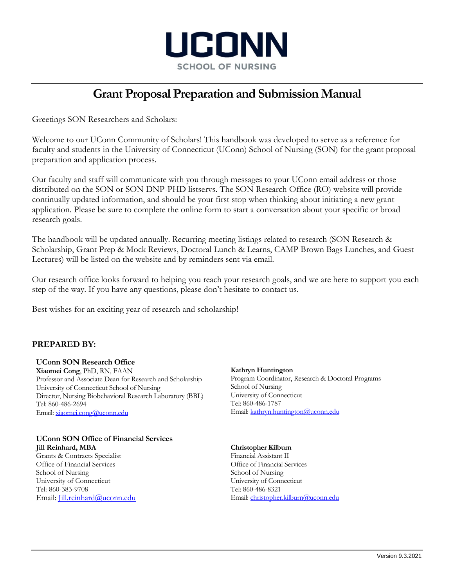

# **Grant Proposal Preparation and Submission Manual**

Greetings SON Researchers and Scholars:

Welcome to our UConn Community of Scholars! This handbook was developed to serve as a reference for faculty and students in the University of Connecticut (UConn) School of Nursing (SON) for the grant proposal preparation and application process.

Our faculty and staff will communicate with you through messages to your UConn email address or those distributed on the SON or SON DNP-PHD listservs. The SON Research Office (RO) website will provide continually updated information, and should be your first stop when thinking about initiating a new grant application. Please be sure to complete the online form to start a conversation about your specific or broad research goals.

The handbook will be updated annually. Recurring meeting listings related to research (SON Research & Scholarship, Grant Prep & Mock Reviews, Doctoral Lunch & Learns, CAMP Brown Bags Lunches, and Guest Lectures) will be listed on the website and by reminders sent via email.

Our research office looks forward to helping you reach your research goals, and we are here to support you each step of the way. If you have any questions, please don't hesitate to contact us.

Best wishes for an exciting year of research and scholarship!

### **PREPARED BY:**

#### **UConn SON Research Office**

**Xiaomei Cong**, PhD, RN, FAAN Professor and Associate Dean for Research and Scholarship University of Connecticut School of Nursing Director, Nursing Biobehavioral Research Laboratory (BBL) Tel: 860-486-2694 Email: xiaomei.cong@uconn.edu

## **UConn SON Office of Financial Services**

**Jill Reinhard, MBA** Grants & Contracts Specialist Office of Financial Services School of Nursing University of Connecticut Tel: 860-383-9708 Email: Jill.reinhard@uconn.edu **Kathryn Huntington**

Program Coordinator, Research & Doctoral Programs School of Nursing University of Connecticut Tel: 860-486-1787 Email: kathryn.huntington@uconn.edu

#### **Christopher Kilburn**

Financial Assistant II Office of Financial Services School of Nursing University of Connecticut Tel: 860-486-8321 Email: christopher.kilburn@uconn.edu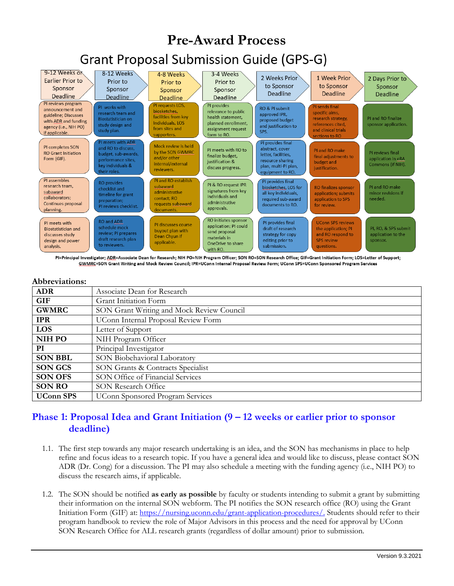

PI=Principal Investigator; ADR=Associate Dean for Research; NIH PO=NIH Program Officer; SON RO=SON Research Office; GIF=Grant Initiation Form; LOS=Letter of Support; GWMRC=SON Grant Writing and Mock Review Council; IPR=UConn Internal Proposal Review Form; UConn SPS=UConn Sponsored Program Services

#### **Abbreviations:**

| Associate Dean for Research               |
|-------------------------------------------|
| Grant Initiation Form                     |
| SON Grant Writing and Mock Review Council |
| UConn Internal Proposal Review Form       |
| Letter of Support                         |
| NIH Program Officer                       |
| Principal Investigator                    |
| SON Biobehavioral Laboratory              |
| SON Grants & Contracts Specialist         |
| SON Office of Financial Services          |
| <b>SON Research Office</b>                |
| <b>UConn Sponsored Program Services</b>   |
|                                           |

### **Phase 1: Proposal Idea and Grant Initiation (9 – 12 weeks or earlier prior to sponsor deadline)**

- 1.1. The first step towards any major research undertaking is an idea, and the SON has mechanisms in place to help refine and focus ideas to a research topic. If you have a general idea and would like to discuss, please contact SON ADR (Dr. Cong) for a discussion. The PI may also schedule a meeting with the funding agency (i.e., NIH PO) to discuss the research aims, if applicable.
- 1.2. The SON should be notified **as early as possible** by faculty or students intending to submit a grant by submitting their information on the internal SON webform. The PI notifies the SON research office (RO) using the Grant Initiation Form (GIF) at: https://nursing.uconn.edu/grant-application-procedures/. Students should refer to their program handbook to review the role of Major Advisors in this process and the need for approval by UConn SON Research Office for ALL research grants (regardless of dollar amount) prior to submission.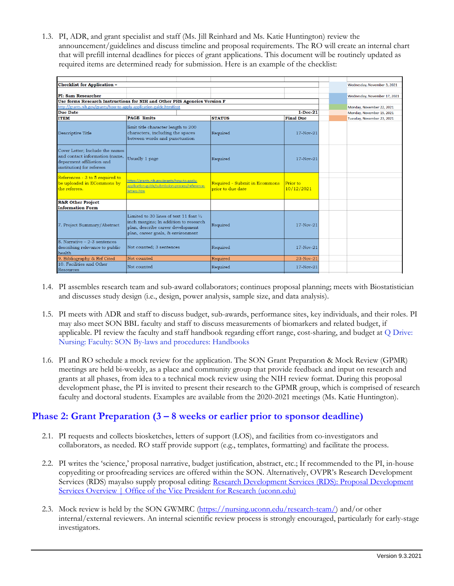1.3. PI, ADR, and grant specialist and staff (Ms. Jill Reinhard and Ms. Katie Huntington) review the announcement/guidelines and discuss timeline and proposal requirements. The RO will create an internal chart that will prefill internal deadlines for pieces of grant applications. This document will be routinely updated as required items are determined ready for submission. Here is an example of the checklist:

| <b>Checklist for Application -</b>                                                                                          |                                                                                                                                                                      |                                                    |                        |  |  | Wednesday, November 3, 2021  |
|-----------------------------------------------------------------------------------------------------------------------------|----------------------------------------------------------------------------------------------------------------------------------------------------------------------|----------------------------------------------------|------------------------|--|--|------------------------------|
|                                                                                                                             |                                                                                                                                                                      |                                                    |                        |  |  |                              |
| <b>PI: Sam Researcher</b>                                                                                                   |                                                                                                                                                                      |                                                    |                        |  |  | Wednesday, November 17, 2021 |
| Use forms Research Instructions for NIH and Other PHS Agencies Version F                                                    |                                                                                                                                                                      |                                                    |                        |  |  |                              |
| http://grants.nih.gov/grants/how-to-apply-application-guide.htm#inst                                                        |                                                                                                                                                                      |                                                    |                        |  |  | Monday, November 22, 2021    |
| <b>Due Date</b><br>$1-Dec-21$                                                                                               |                                                                                                                                                                      |                                                    |                        |  |  | Monday, November 15, 2021    |
| <b>ITEM</b>                                                                                                                 | <b>PAGE</b> limits                                                                                                                                                   | <b>STATUS</b>                                      | <b>Final Due</b>       |  |  | Tuesday, November 23, 2021   |
| Descriptive Title                                                                                                           | limit title character length to 200<br>characters, including the spaces<br>between words and punctuation                                                             | Required                                           | 17-Nov-21              |  |  |                              |
| Cover Letter: Include the names<br>and contact information (name,<br>deparment affiliation and<br>institution) for referees | Usually 1 page                                                                                                                                                       | Required                                           | $17-Nov-21$            |  |  |                              |
| References - 3 to 5 required to<br>be uploaded in ECommons by<br>the referees.                                              | https://grants.nih.gov/grants/how-to-apply-<br>application-guide/submission-process/reference-<br>letters.htm                                                        | Required - Submit in Ecommons<br>prior to due date | Prior to<br>10/12/2021 |  |  |                              |
| <b>R&amp;R Other Project</b><br><b>Information Form</b>                                                                     |                                                                                                                                                                      |                                                    |                        |  |  |                              |
| 7. Project Summary/Abstract                                                                                                 | Limited to 30 lines of text 11 font $\frac{1}{2}$<br>inch margins; In addition to research<br>plan, describe career development<br>plan, career goals, & environment | Required                                           | $17-Nov-21$            |  |  |                              |
| 8. Narrative - 2-3 sentences<br>describing relevance to public<br>health                                                    | Not counted; 3 sentences                                                                                                                                             | Required                                           | $17 - Nov - 21$        |  |  |                              |
| 9. Bibliography & Ref Cited                                                                                                 | Not counted                                                                                                                                                          | Required                                           | 23-Nov-21              |  |  |                              |
| 10. Facilities and Other<br>Resources                                                                                       | Not counted                                                                                                                                                          | Required                                           | $17-Nov-21$            |  |  |                              |

- 1.4. PI assembles research team and sub-award collaborators; continues proposal planning; meets with Biostatistician and discusses study design (i.e., design, power analysis, sample size, and data analysis).
- 1.5. PI meets with ADR and staff to discuss budget, sub-awards, performance sites, key individuals, and their roles. PI may also meet SON BBL faculty and staff to discuss measurements of biomarkers and related budget, if applicable. PI review the faculty and staff handbook regarding effort range, cost-sharing, and budget at Q Drive: Nursing: Faculty: SON By-laws and procedures: Handbooks
- 1.6. PI and RO schedule a mock review for the application. The SON Grant Preparation & Mock Review (GPMR) meetings are held bi-weekly, as a place and community group that provide feedback and input on research and grants at all phases, from idea to a technical mock review using the NIH review format. During this proposal development phase, the PI is invited to present their research to the GPMR group, which is comprised of research faculty and doctoral students. Examples are available from the 2020-2021 meetings (Ms. Katie Huntington).

## **Phase 2: Grant Preparation (3 – 8 weeks or earlier prior to sponsor deadline)**

- 2.1. PI requests and collects biosketches, letters of support (LOS), and facilities from co-investigators and collaborators, as needed. RO staff provide support (e.g., templates, formatting) and facilitate the process.
- 2.2. PI writes the 'science,' proposal narrative, budget justification, abstract, etc.; If recommended to the PI, in-house copyediting or proofreading services are offered within the SON. Alternatively, OVPR's Research Development Services (RDS) mayalso supply proposal editing: Research Development Services (RDS): Proposal Development Services Overview | Office of the Vice President for Research (uconn.edu)
- 2.3. Mock review is held by the SON GWMRC (https://nursing.uconn.edu/research-team/) and/or other internal/external reviewers. An internal scientific review process is strongly encouraged, particularly for early-stage investigators.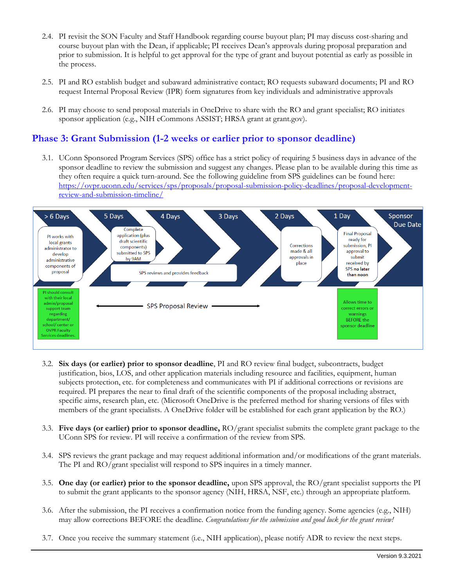- 2.4. PI revisit the SON Faculty and Staff Handbook regarding course buyout plan; PI may discuss cost-sharing and course buyout plan with the Dean, if applicable; PI receives Dean's approvals during proposal preparation and prior to submission. It is helpful to get approval for the type of grant and buyout potential as early as possible in the process.
- 2.5. PI and RO establish budget and subaward administrative contact; RO requests subaward documents; PI and RO request Internal Proposal Review (IPR) form signatures from key individuals and administrative approvals
- 2.6. PI may choose to send proposal materials in OneDrive to share with the RO and grant specialist; RO initiates sponsor application (e.g., NIH eCommons ASSIST; HRSA grant at grant.gov).

### **Phase 3: Grant Submission (1-2 weeks or earlier prior to sponsor deadline)**

3.1. UConn Sponsored Program Services (SPS) office has a strict policy of requiring 5 business days in advance of the sponsor deadline to review the submission and suggest any changes. Please plan to be available during this time as they often require a quick turn-around. See the following guideline from SPS guidelines can be found here: https://ovpr.uconn.edu/services/sps/proposals/proposal-submission-policy-deadlines/proposal-developmentreview-and-submission-timeline/



- 3.2. **Six days (or earlier) prior to sponsor deadline**, PI and RO review final budget, subcontracts, budget justification, bios, LOS, and other application materials including resource and facilities, equipment, human subjects protection, etc. for completeness and communicates with PI if additional corrections or revisions are required. PI prepares the near to final draft of the scientific components of the proposal including abstract, specific aims, research plan, etc. (Microsoft OneDrive is the preferred method for sharing versions of files with members of the grant specialists. A OneDrive folder will be established for each grant application by the RO.)
- 3.3. **Five days (or earlier) prior to sponsor deadline,** RO/grant specialist submits the complete grant package to the UConn SPS for review. PI will receive a confirmation of the review from SPS.
- 3.4. SPS reviews the grant package and may request additional information and/or modifications of the grant materials. The PI and RO/grant specialist will respond to SPS inquires in a timely manner.
- 3.5. **One day (or earlier) prior to the sponsor deadline,** upon SPS approval, the RO/grant specialist supports the PI to submit the grant applicants to the sponsor agency (NIH, HRSA, NSF, etc.) through an appropriate platform.
- 3.6. After the submission, the PI receives a confirmation notice from the funding agency. Some agencies (e.g., NIH) may allow corrections BEFORE the deadline. *Congratulations for the submission and good luck for the grant review!*
- 3.7. Once you receive the summary statement (i.e., NIH application), please notify ADR to review the next steps.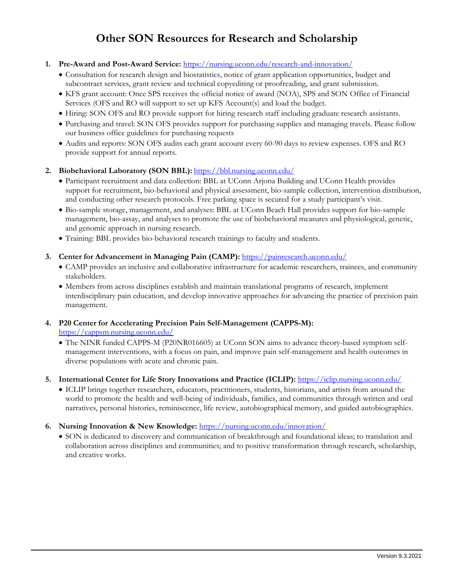# **Other SON Resources for Research and Scholarship**

#### **1. Pre-Award and Post-Award Service:** https://nursing.uconn.edu/research-and-innovation/

- Consultation for research design and biostatistics, notice of grant application opportunities, budget and subcontract services, grant review and technical copyediting or proofreading, and grant submission.
- KFS grant account: Once SPS receives the official notice of award (NOA), SPS and SON Office of Financial Services (OFS and RO will support to set up KFS Account(s) and load the budget.
- Hiring: SON OFS and RO provide support for hiring research staff including graduate research assistants.
- Purchasing and travel: SON OFS provides support for purchasing supplies and managing travels. Please follow our business office guidelines for purchasing requests
- Audits and reports: SON OFS audits each grant account every 60-90 days to review expenses. OFS and RO provide support for annual reports.

#### 2. Biobehavioral Laboratory (SON BBL): https://bbl.nursing.uconn.edu/

- Participant recruitment and data collection: BBL at UConn Arjona Building and UConn Health provides support for recruitment, bio-behavioral and physical assessment, bio-sample collection, intervention distribution, and conducting other research protocols. Free parking space is secured for a study participant's visit.
- Bio-sample storage, management, and analyses: BBL at UConn Beach Hall provides support for bio-sample management, bio-assay, and analyses to promote the use of biobehavioral measures and physiological, genetic, and genomic approach in nursing research.
- Training: BBL provides bio-behavioral research trainings to faculty and students.

#### **3. Center for Advancement in Managing Pain (CAMP):** https://painresearch.uconn.edu/

- CAMP provides an inclusive and collaborative infrastructure for academic researchers, trainees, and community stakeholders.
- Members from across disciplines establish and maintain translational programs of research, implement interdisciplinary pain education, and develop innovative approaches for advancing the practice of precision pain management.

### **4. P20 Center for Accelerating Precision Pain Self-Management (CAPPS-M):** https://cappsm.nursing.uconn.edu/

 The NINR funded CAPPS-M (P20NR016605) at UConn SON aims to advance theory-based symptom selfmanagement interventions, with a focus on pain, and improve pain self-management and health outcomes in diverse populations with acute and chronic pain.

#### **5. International Center for Life Story Innovations and Practice (ICLIP):** https://iclip.nursing.uconn.edu/

 ICLIP brings together researchers, educators, practitioners, students, historians, and artists from around the world to promote the health and well-being of individuals, families, and communities through written and oral narratives, personal histories, reminiscence, life review, autobiographical memory, and guided autobiographies.

#### **6. Nursing Innovation & New Knowledge:** https://nursing.uconn.edu/innovation/

 SON is dedicated to discovery and communication of breakthrough and foundational ideas; to translation and collaboration across disciplines and communities; and to positive transformation through research, scholarship, and creative works.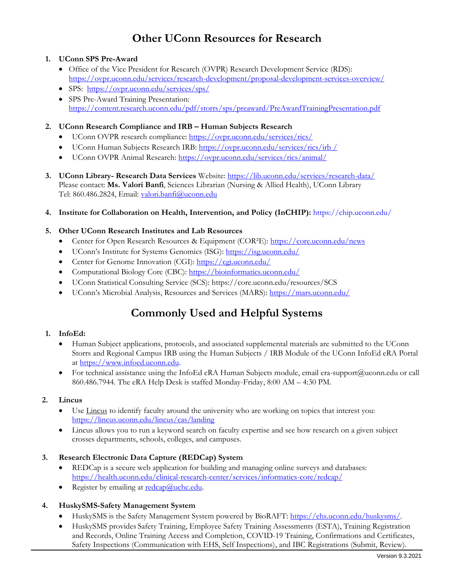# **Other UConn Resources for Research**

#### **1. UConn SPS Pre-Award**

- Office of the Vice President for Research (OVPR) Research Development Service (RDS): https://ovpr.uconn.edu/services/research-development/proposal-development-services-overview/
- SPS: https://ovpr.uconn.edu/services/sps/
- SPS Pre-Award Training Presentation: https://content.research.uconn.edu/pdf/storrs/sps/preaward/PreAwardTrainingPresentation.pdf

#### **2. UConn Research Compliance and IRB – Human Subjects Research**

- UConn OVPR research compliance: https://ovpr.uconn.edu/services/rics/
- UConn Human Subjects Research IRB: https://ovpr.uconn.edu/services/rics/irb /
- UConn OVPR Animal Research: https://ovpr.uconn.edu/services/rics/animal/
- **3. UConn Library- Research Data Services** Website: https://lib.uconn.edu/services/research-data/ Please contact: **Ms. Valori Banfi**, Sciences Librarian (Nursing & Allied Health), UConn Library Tel: 860.486.2824, Email: valori.banfi@uconn.edu
- **4. Institute for Collaboration on Health, Intervention, and Policy (InCHIP):** https://chip.uconn.edu/

#### **5. Other UConn Research Institutes and Lab Resources**

- Center for Open Research Resources & Equipment (COR<sup>2</sup>E): https://core.uconn.edu/news
- UConn's Institute for Systems Genomics (ISG): https://isg.uconn.edu/
- Center for Genome Innovation (CGI): https://cgi.uconn.edu/
- Computational Biology Core (CBC): https://bioinformatics.uconn.edu/
- UConn Statistical Consulting Service (SCS): https://core.uconn.edu/resources/SCS
- UConn's Microbial Analysis, Resources and Services (MARS): https://mars.uconn.edu/

# **Commonly Used and Helpful Systems**

#### **1. InfoEd:**

- Human Subject applications, protocols, and associated supplemental materials are submitted to the UConn Storrs and Regional Campus IRB using the Human Subjects / IRB Module of the UConn InfoEd eRA Portal at https://www.infoed.uconn.edu.
- For technical assistance using the InfoEd eRA Human Subjects module, email era-support@uconn.edu or call 860.486.7944. The eRA Help Desk is staffed Monday-Friday, 8:00 AM – 4:30 PM.

#### **2. Lincus**

- Use Lincus to identify faculty around the university who are working on topics that interest you: https://lincus.uconn.edu/lincus/cas/landing
- Lincus allows you to run a keyword search on faculty expertise and see how research on a given subject crosses departments, schools, colleges, and campuses.

#### **3. Research Electronic Data Capture (REDCap) System**

- REDCap is a secure web application for building and managing online surveys and databases: https://health.uconn.edu/clinical-research-center/services/informatics-core/redcap/
- Register by emailing at redcap@uchc.edu.

#### **4. HuskySMS-Safety Management System**

- HuskySMS is the Safety Management System powered by BioRAFT: https://ehs.uconn.edu/huskysms/.
- HuskySMS provides Safety Training, Employee Safety Training Assessments (ESTA), Training Registration and Records, Online Training Access and Completion, COVID-19 Training, Confirmations and Certificates, Safety Inspections (Communication with EHS, Self Inspections), and IBC Registrations (Submit, Review).